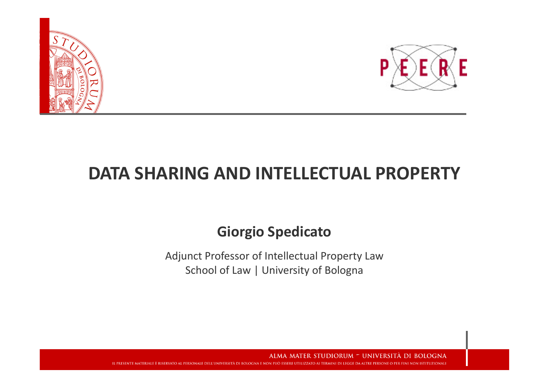



#### DATA SHARING AND INTELLECTUAL PROPERTY

#### Giorgio Spedicato

Adjunct Professor of Intellectual Property Law School of Law | University of Bologna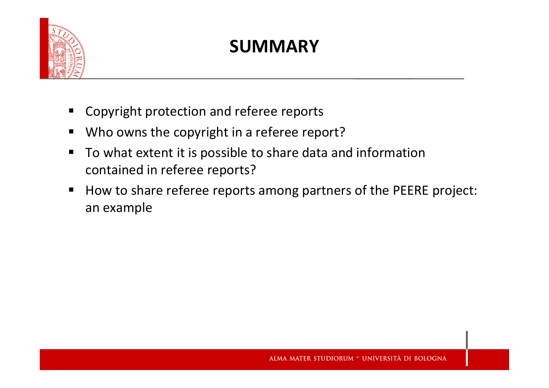

#### SUMMARY

- $\blacksquare$ Copyright protection and referee reports
- $\begin{array}{c} \hline \end{array}$ Who owns the copyright in a referee report?
- $\blacksquare$  To what extent it is possible to share data and information contained in referee reports?
- $\blacksquare$ ■ How to share referee reports among partners of the PEERE project: an example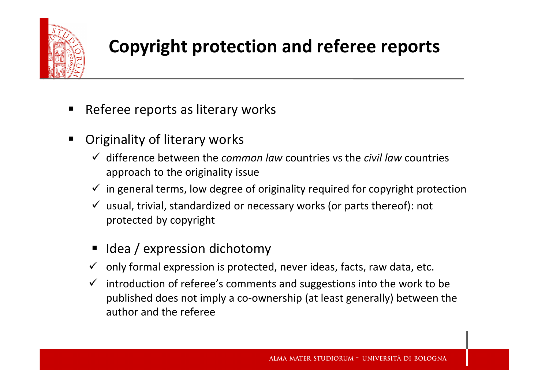

### Copyright protection and referee reports

- $\blacksquare$ Referee reports as literary works
- $\blacksquare$  Originality of literary works
	- $\checkmark$  difference between the *common law* countries vs the *civil law* countries approach to the originality issue
	- $\checkmark$  in general terms, low degree of originality required for copyright protection
	- usual, trivial, standardized or necessary works (or parts thereof): not protected by copyright
	- П Idea / expression dichotomy
	- $\checkmark$  only formal expression is protected, never ideas, facts, raw data, etc.
	- introduction of referee's comments and suggestions into the work to be published does not imply a co-ownership (at least generally) between the author and the referee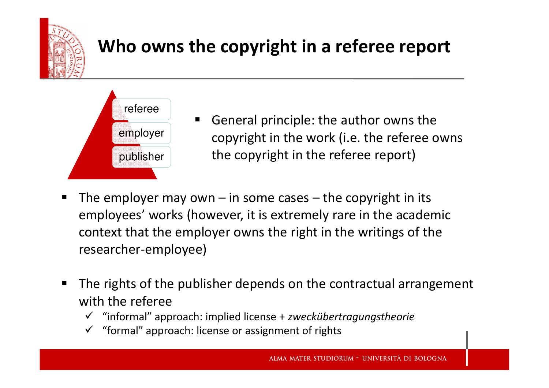

## Who owns the copyright in a referee report



- ٠ General principle: the author owns the copyright in the work (i.e. the referee owns the copyright in the referee report)
- $\blacksquare$ ■ The employer may own – in some cases – $-$  the copyright in its  $\overline{\phantom{a}}$ employees' works (however, it is extremely rare in the academic context that the employer owns the right in the writings of the researcher-employee)
- $\blacksquare$  The rights of the publisher depends on the contractual arrangement with the referee
	- "informal" approach: implied license + zweckübertragungstheorie
	- "formal" approach: license or assignment of rights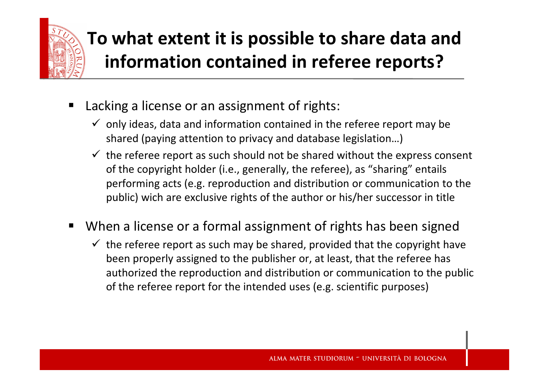

## To what extent it is possible to share data and information contained in referee reports?

- $\blacksquare$  Lacking a license or an assignment of rights:
	- $\checkmark$  only ideas, data and information contained in the referee report may be shared (paying attention to privacy and database legislation…)
	- $\checkmark$  the referee report as such should not be shared without the express consent ef the express of the express of the expression of the expression of the expression of the expression of the expression of the expression o of the copyright holder (i.e., generally, the referee), as "sharing" entails performing acts (e.g. reproduction and distribution or communication to the public) wich are exclusive rights of the author or his/her successor in title
- $\blacksquare$  When a license or a formal assignment of rights has been signed
	- $\checkmark$  the referee report as such may be shared, provided that the copyright have been properly assigned to the publisher or, at least, that the referee has authorized the reproduction and distribution or communication to the public of the referee report for the intended uses (e.g. scientific purposes)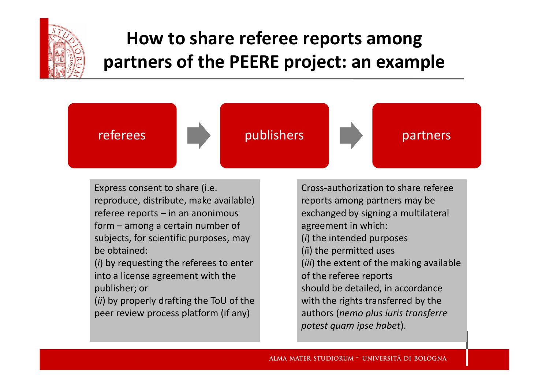

# How to share referee reports amongpartners of the PEERE project: an example



Express consent to share (i.e. reproduce, distribute, make available) referee reports – in an anonimous form – among a certain number of subjects, for scientific purposes, may be obtained:

(i) by requesting the referees to enter into a license agreement with the publisher; or

(ii) by properly drafting the ToU of the peer review process platform (if any)

Cross-authorization to share referee reports among partners may be exchanged by signing a multilateral agreement in which: (i) the intended purposes (ii) the permitted uses (iii) the extent of the making available of the referee reports should be detailed, in accordance with the rights transferred by the authors (nemo plus iuris transferre potest quam ipse habet).